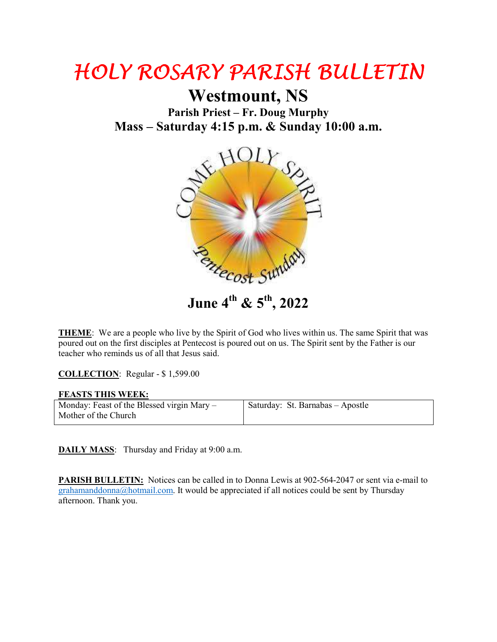## HOLY ROSARY PARISH BULLETIN HOLY ROSARY PARISH BULLETIN

**Westmount, NS**

**Parish Priest – Fr. Doug Murphy Mass – Saturday 4:15 p.m. & Sunday 10:00 a.m.** 



**June 4th & 5th, 2022**

**THEME**: We are a people who live by the Spirit of God who lives within us. The same Spirit that was poured out on the first disciples at Pentecost is poured out on us. The Spirit sent by the Father is our teacher who reminds us of all that Jesus said.

**COLLECTION**: Regular - \$ 1,599.00

## **FEASTS THIS WEEK:**

| Monday: Feast of the Blessed virgin Mary – | Saturday: St. Barnabas - Apostle |
|--------------------------------------------|----------------------------------|
| Mother of the Church                       |                                  |

**DAILY MASS**: Thursday and Friday at 9:00 a.m.

**PARISH BULLETIN:** Notices can be called in to Donna Lewis at 902-564-2047 or sent via e-mail to grahamanddonna@hotmail.com. It would be appreciated if all notices could be sent by Thursday afternoon. Thank you.